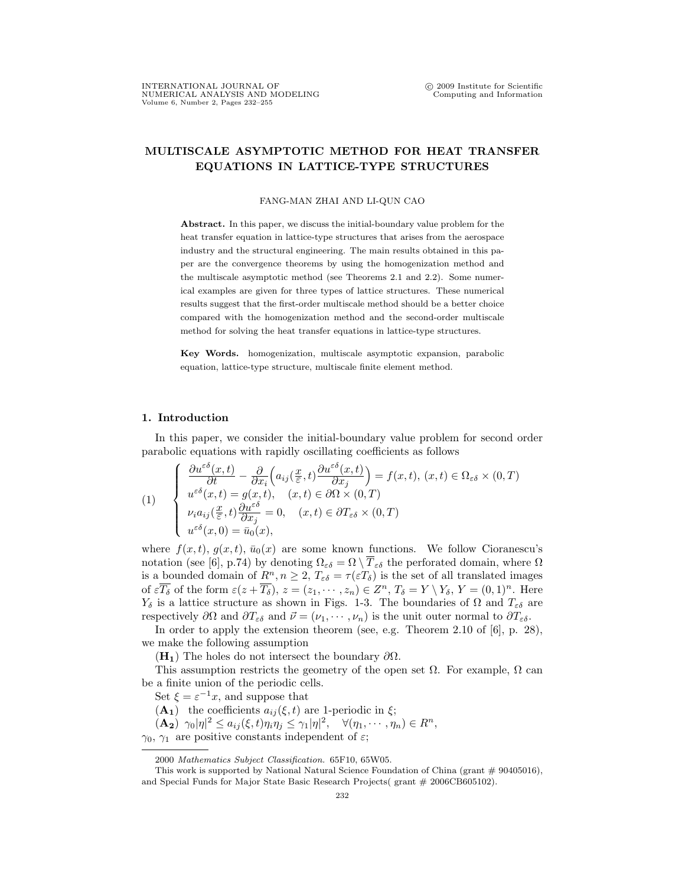## MULTISCALE ASYMPTOTIC METHOD FOR HEAT TRANSFER EQUATIONS IN LATTICE-TYPE STRUCTURES

## FANG-MAN ZHAI AND LI-QUN CAO

Abstract. In this paper, we discuss the initial-boundary value problem for the heat transfer equation in lattice-type structures that arises from the aerospace industry and the structural engineering. The main results obtained in this paper are the convergence theorems by using the homogenization method and the multiscale asymptotic method (see Theorems 2.1 and 2.2). Some numerical examples are given for three types of lattice structures. These numerical results suggest that the first-order multiscale method should be a better choice compared with the homogenization method and the second-order multiscale method for solving the heat transfer equations in lattice-type structures.

Key Words. homogenization, multiscale asymptotic expansion, parabolic equation, lattice-type structure, multiscale finite element method.

## 1. Introduction

In this paper, we consider the initial-boundary value problem for second order parabolic equations with rapidly oscillating coefficients as follows Ţ

(1)  
\n
$$
\begin{cases}\n\frac{\partial u^{\varepsilon\delta}(x,t)}{\partial t} - \frac{\partial}{\partial x_i} \Big( a_{ij}(\frac{x}{\varepsilon},t) \frac{\partial u^{\varepsilon\delta}(x,t)}{\partial x_j} \Big) = f(x,t), (x,t) \in \Omega_{\varepsilon\delta} \times (0,T) \\
u^{\varepsilon\delta}(x,t) = g(x,t), (x,t) \in \partial\Omega \times (0,T) \\
\nu_i a_{ij}(\frac{x}{\varepsilon},t) \frac{\partial u^{\varepsilon\delta}}{\partial x_j} = 0, (x,t) \in \partial T_{\varepsilon\delta} \times (0,T) \\
u^{\varepsilon\delta}(x,0) = \bar{u}_0(x),\n\end{cases}
$$

where  $f(x, t)$ ,  $q(x, t)$ ,  $\bar{u}_0(x)$  are some known functions. We follow Cioranescu's notation (see [6], p.74) by denoting  $\Omega_{\varepsilon\delta} = \Omega \setminus \overline{T}_{\varepsilon\delta}$  the perforated domain, where  $\Omega$ is a bounded domain of  $\underline{R}^n, n \geq 2, T_{\varepsilon\delta} = \tau(\varepsilon T_{\delta})$  is the set of all translated images of  $\varepsilon \overline{T_{\delta}}$  of the form  $\varepsilon(z+\overline{T_{\delta}}), z=(z_1,\dots, z_n)\in Z^n, T_{\delta}=Y\setminus Y_{\delta}, Y=(0,1)^n$ . Here  $Y_{\delta}$  is a lattice structure as shown in Figs. 1-3. The boundaries of  $\Omega$  and  $T_{\varepsilon\delta}$  are respectively  $\partial\Omega$  and  $\partial T_{\varepsilon\delta}$  and  $\vec{\nu} = (\nu_1, \cdots, \nu_n)$  is the unit outer normal to  $\partial T_{\varepsilon\delta}$ .

In order to apply the extension theorem (see, e.g. Theorem 2.10 of [6], p. 28), we make the following assumption

 $(H_1)$  The holes do not intersect the boundary  $\partial\Omega$ .

This assumption restricts the geometry of the open set  $\Omega$ . For example,  $\Omega$  can be a finite union of the periodic cells.

Set  $\xi = \varepsilon^{-1}x$ , and suppose that

 $(A_1)$  the coefficients  $a_{ij}(\xi, t)$  are 1-periodic in  $\xi$ ;

 $(\mathbf{A_2}) \ \gamma_0 |\eta|^2 \leq a_{ij}(\xi, t) \eta_i \eta_j \leq \gamma_1 |\eta|^2, \quad \forall (\eta_1, \cdots, \eta_n) \in R^n,$ 

 $\gamma_0$ ,  $\gamma_1$  are positive constants independent of  $\varepsilon$ ;

<sup>2000</sup> Mathematics Subject Classification. 65F10, 65W05.

This work is supported by National Natural Science Foundation of China (grant  $\#$  90405016), and Special Funds for Major State Basic Research Projects( grant # 2006CB605102).